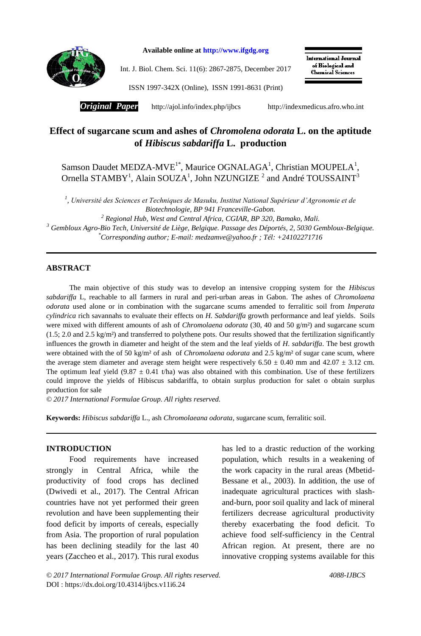

**Available online at http://www.ifgdg.org**

Int. J. Biol. Chem. Sci. 11(6): 2867-2875, December 2017

**International Journal** of Biological and **Chemical Sciences** 

ISSN 1997-342X (Online), ISSN 1991-8631 (Print)

*Original Paper* http://ajol.info/index.php/ijbcs[http://indexmedicus.afro.who.int](http://indexmedicus.afro.who.int/)

# **Effect of sugarcane scum and ashes of** *Chromolena odorata* **L. on the aptitude of** *Hibiscus sabdariffa* **L. production**

Samson Daudet MEDZA-MVE<sup>1\*</sup>, Maurice OGNALAGA<sup>1</sup>, Christian MOUPELA<sup>1</sup>, Ornella STAMBY<sup>1</sup>, Alain SOUZA<sup>1</sup>, John NZUNGIZE<sup>2</sup> and André TOUSSAINT<sup>3</sup>

*1 , Université des Sciences et Techniques de Masuku, Institut National Supérieur d'Agronomie et de Biotechnologie, BP 941 Franceville-Gabon.*

*<sup>2</sup> Regional Hub, West and Central Africa, CGIAR, BP 320, Bamako, Mali.*

*<sup>3</sup> Gembloux Agro-Bio Tech, Université de Liège, Belgique. Passage des Déportés, 2, 5030 Gembloux-Belgique. \*Corresponding author; E-mail[: medzamve@yahoo.fr](mailto:medzamve@yahoo.fr) ; Tél: +24102271716*

## **ABSTRACT**

The main objective of this study was to develop an intensive cropping system for the *Hibiscus sabdariffa* L, reachable to all farmers in rural and peri-urban areas in Gabon. The ashes of *Chromolaena odorata* used alone or in combination with the sugarcane scums amended to ferralitic soil from *Imperata cylindrica* rich savannahs to evaluate their effects on *H. Sabdariffa* growth performance and leaf yields. Soils were mixed with different amounts of ash of *Chromolaena odorata* (30, 40 and 50 g/m<sup>2</sup>) and sugarcane scum  $(1.5; 2.0 \text{ and } 2.5 \text{ kg/m}^2)$  and transferred to polythene pots. Our results showed that the fertilization significantly influences the growth in diameter and height of the stem and the leaf yields of *H*. *sabdariffa*. The best growth were obtained with the of 50 kg/m² of ash of *Chromolaena odorata* and 2.5 kg/m² of sugar cane scum, where the average stem diameter and average stem height were respectively  $6.50 \pm 0.40$  mm and  $42.07 \pm 3.12$  cm. The optimum leaf yield (9.87  $\pm$  0.41 t/ha) was also obtained with this combination. Use of these fertilizers could improve the yields of Hibiscus sabdariffa, to obtain surplus production for salet o obtain surplus production for sale

*© 2017 International Formulae Group. All rights reserved.*

**Keywords:** *Hibiscus sabdariffa* L., ash *Chromolaeana odorata*, sugarcane scum, ferralitic soil.

#### **INTRODUCTION**

Food requirements have increased strongly in Central Africa, while the productivity of food crops has declined (Dwivedi et al., 2017). The Central African countries have not yet performed their green revolution and have been supplementing their food deficit by imports of cereals, especially from Asia. The proportion of rural population has been declining steadily for the last 40 years (Zaccheo et al., 2017). This rural exodus

has led to a drastic reduction of the working population, which results in a weakening of the work capacity in the rural areas (Mbetid-Bessane et al., 2003). In addition, the use of inadequate agricultural practices with slashand-burn, poor soil quality and lack of mineral fertilizers decrease agricultural productivity thereby exacerbating the food deficit. To achieve food self-sufficiency in the Central African region. At present, there are no innovative cropping systems available for this

*© 2017 International Formulae Group. All rights reserved. 4088-IJBCS* DOI : https://dx.doi.org/10.4314/ijbcs.v11i6.24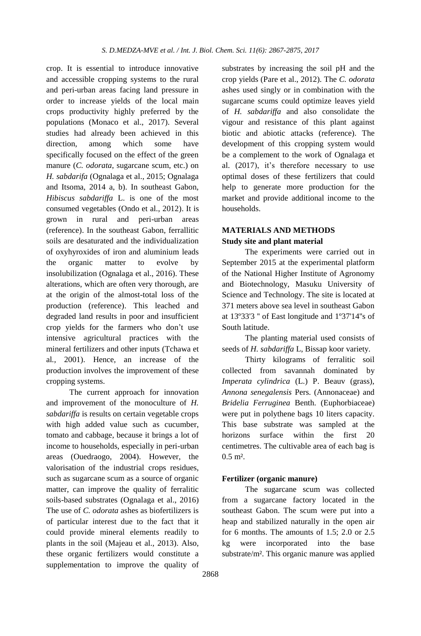crop. It is essential to introduce innovative and accessible cropping systems to the rural and peri-urban areas facing land pressure in order to increase yields of the local main crops productivity highly preferred by the populations (Monaco et al., 2017). Several studies had already been achieved in this direction, among which some have specifically focused on the effect of the green manure (*C. odorata*, sugarcane scum, etc.) on *H. sabdarifa* (Ognalaga et al., 2015; Ognalaga and Itsoma, 2014 a, b). In southeast Gabon, *Hibiscus sabdariffa* L. is one of the most consumed vegetables (Ondo et al., 2012). It is grown in rural and peri-urban areas (reference). In the southeast Gabon, ferrallitic soils are desaturated and the individualization of oxyhyroxides of iron and aluminium leads the organic matter to evolve by insolubilization (Ognalaga et al., 2016). These alterations, which are often very thorough, are at the origin of the almost-total loss of the production (reference). This leached and degraded land results in poor and insufficient crop yields for the farmers who don't use intensive agricultural practices with the mineral fertilizers and other inputs (Tchawa et al*.*, 2001). Hence, an increase of the production involves the improvement of these cropping systems.

The current approach for innovation and improvement of the monoculture of *H. sabdariffa* is results on certain vegetable crops with high added value such as cucumber, tomato and cabbage, because it brings a lot of income to households, especially in peri-urban areas (Ouedraogo, 2004). However, the valorisation of the industrial crops residues, such as sugarcane scum as a source of organic matter, can improve the quality of ferralitic soils-based substrates (Ognalaga et al., 2016) The use of *C. odorata* ashes as biofertilizers is of particular interest due to the fact that it could provide mineral elements readily to plants in the soil (Majeau et al., 2013). Also, these organic fertilizers would constitute a supplementation to improve the quality of

substrates by increasing the soil pH and the crop yields (Pare et al., 2012). The *C. odorata* ashes used singly or in combination with the sugarcane scums could optimize leaves yield of *H. sabdariffa* and also consolidate the vigour and resistance of this plant against biotic and abiotic attacks (reference). The development of this cropping system would be a complement to the work of Ognalaga et al. (2017), it's therefore necessary to use optimal doses of these fertilizers that could help to generate more production for the market and provide additional income to the households.

## **MATERIALS AND METHODS Study site and plant material**

The experiments were carried out in September 2015 at the experimental platform of the National Higher Institute of Agronomy and Biotechnology, Masuku University of Science and Technology. The site is located at 371 meters above sea level in southeast Gabon at 13º33'3 '' of East longitude and 1º37'14''s of South latitude.

The planting material used consists of seeds of *H. sabdariffa* L, Bissap koor variety.

Thirty kilograms of ferralitic soil collected from savannah dominated by *Imperata cylindrica* (L.) P. Beauv (grass), *Annona senegalensis* Pers. (Annonaceae) and *Bridelia Ferruginea* Benth. (Euphorbiaceae) were put in polythene bags 10 liters capacity. This base substrate was sampled at the horizons surface within the first 20 centimetres. The cultivable area of each bag is  $0.5 \text{ m}^2$ .

#### **Fertilizer (organic manure)**

The sugarcane scum was collected from a sugarcane factory located in the southeast Gabon. The scum were put into a heap and stabilized naturally in the open air for 6 months. The amounts of 1.5; 2.0 or 2.5 kg were incorporated into the base substrate/m². This organic manure was applied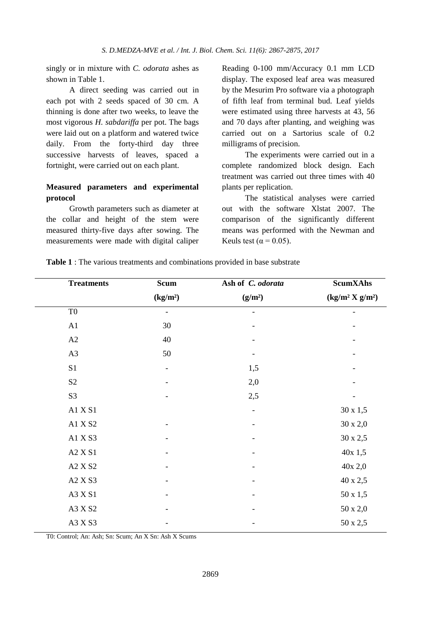singly or in mixture with *C. odorata* ashes as shown in Table 1.

A direct seeding was carried out in each pot with 2 seeds spaced of 30 cm. A thinning is done after two weeks, to leave the most vigorous *H. sabdariffa* per pot. The bags were laid out on a platform and watered twice daily. From the forty-third day three successive harvests of leaves, spaced a fortnight, were carried out on each plant.

### **Measured parameters and experimental protocol**

Growth parameters such as diameter at the collar and height of the stem were measured thirty-five days after sowing. The measurements were made with digital caliper

Reading 0-100 mm/Accuracy 0.1 mm LCD display. The exposed leaf area was measured by the Mesurim Pro software via a photograph of fifth leaf from terminal bud. Leaf yields were estimated using three harvests at 43, 56 and 70 days after planting, and weighing was carried out on a Sartorius scale of 0.2 milligrams of precision.

The experiments were carried out in a complete randomized block design. Each treatment was carried out three times with 40 plants per replication.

The statistical analyses were carried out with the software Xlstat 2007. The comparison of the significantly different means was performed with the Newman and Keuls test ( $\alpha$  = 0.05).

| Table 1 : The various treatments and combinations provided in base substrate |  |  |  |
|------------------------------------------------------------------------------|--|--|--|
|------------------------------------------------------------------------------|--|--|--|

| <b>Treatments</b> | <b>Scum</b>              | Ash of C. odorata   | <b>ScumXAhs</b>    |
|-------------------|--------------------------|---------------------|--------------------|
|                   | (kg/m <sup>2</sup> )     | (g/m <sup>2</sup> ) | $(kg/m^2 X g/m^2)$ |
| T <sub>0</sub>    | -                        |                     |                    |
| A1                | 30                       |                     |                    |
| A2                | 40                       |                     |                    |
| A3                | 50                       |                     |                    |
| S1                | $\overline{\phantom{a}}$ | 1,5                 |                    |
| S <sub>2</sub>    |                          | 2,0                 |                    |
| S <sub>3</sub>    |                          | 2,5                 |                    |
| A1 X S1           |                          | $\overline{a}$      | $30 \ge 1,5$       |
| A1 X S2           |                          |                     | $30 \times 2,0$    |
| A1 X S3           |                          |                     | 30 x 2,5           |
| A2 X S1           |                          |                     | 40x 1,5            |
| A2 X S2           |                          |                     | 40x 2,0            |
| A2 X S3           |                          | $\qquad \qquad$     | 40 x 2,5           |
| A3 X S1           |                          |                     | 50 x 1,5           |
| A3 X S2           |                          |                     | $50 \times 2,0$    |
| A3 X S3           |                          |                     | 50 x 2,5           |

T0: Control; An: Ash; Sn: Scum; An X Sn: Ash X Scums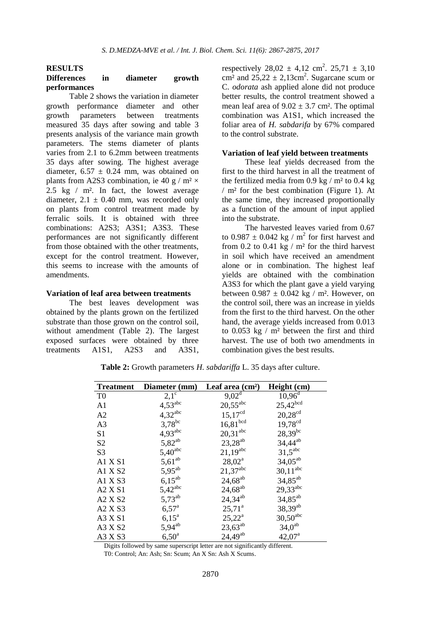## **RESULTS**

#### **Differences in diameter growth performances**

Table 2 shows the variation in diameter growth performance diameter and other growth parameters between treatments measured 35 days after sowing and table 3 presents analysis of the variance main growth parameters. The stems diameter of plants varies from 2.1 to 6.2mm between treatments 35 days after sowing. The highest average diameter,  $6.57 \pm 0.24$  mm, was obtained on plants from A2S3 combination, ie 40 g /  $m^2 \times$ 2.5 kg / m². In fact, the lowest average diameter,  $2.1 \pm 0.40$  mm, was recorded only on plants from control treatment made by ferralic soils. It is obtained with three combinations: A2S3; A3S1; A3S3. These performances are not significantly different from those obtained with the other treatments, except for the control treatment. However, this seems to increase with the amounts of amendments.

#### **Variation of leaf area between treatments**

The best leaves development was obtained by the plants grown on the fertilized substrate than those grown on the control soil, without amendment (Table 2). The largest exposed surfaces were obtained by three treatments A1S1, A2S3 and A3S1,

respectively  $28,02 \pm 4,12 \text{ cm}^2$ .  $25,71 \pm 3,10$ cm<sup>2</sup> and  $25,22 \pm 2,13$ cm<sup>2</sup>. Sugarcane scum or C. *odorata* ash applied alone did not produce better results, the control treatment showed a mean leaf area of  $9.02 \pm 3.7$  cm<sup>2</sup>. The optimal combination was A1S1, which increased the foliar area of *H. sabdarifa* by 67% compared to the control substrate.

#### **Variation of leaf yield between treatments**

These leaf yields decreased from the first to the third harvest in all the treatment of the fertilized media from 0.9 kg  $/$  m<sup>2</sup> to 0.4 kg / m² for the best combination (Figure 1). At the same time, they increased proportionally as a function of the amount of input applied into the substrate.

The harvested leaves varied from 0.67 to  $0.987 \pm 0.042$  kg / m<sup>2</sup> for first harvest and from 0.2 to 0.41 kg  $/$  m<sup>2</sup> for the third harvest in soil which have received an amendment alone or in combination. The highest leaf yields are obtained with the combination A3S3 for which the plant gave a yield varying between  $0.987 \pm 0.042$  kg / m<sup>2</sup>. However, on the control soil, there was an increase in yields from the first to the third harvest. On the other hand, the average yields increased from 0.013 to  $0.053$  kg /  $m<sup>2</sup>$  between the first and third harvest. The use of both two amendments in combination gives the best results.

| <b>Treatment</b> | Diameter (mm)         | Leaf area $(cm2)$     | Height (cm)            |  |
|------------------|-----------------------|-----------------------|------------------------|--|
| T <sub>0</sub>   | $2,\overline{1^c}$    | $9,02^{\overline{d}}$ | $10,96^{\rm d}$        |  |
| A <sub>1</sub>   | $4,53^{\text{abc}}$   | $20{,}55^{\rm abc}$   | $25{,}42^{\rm bcd}$    |  |
| A <sub>2</sub>   | $4,32$ <sup>abc</sup> | $15,17^{cd}$          | $20{,}28^{\rm cd}$     |  |
| A <sub>3</sub>   | $3,78$ <sup>bc</sup>  | $16,\!81^{\rm bcd}$   | $19,78^{cd}$           |  |
| S1               | $4,93^{\text{abc}}$   | $20,31^{\rm abc}$     | $28,39^{bc}$           |  |
| S <sub>2</sub>   | $5,82^{ab}$           | $23,28^{ab}$          | $34,44^{ab}$           |  |
| S <sub>3</sub>   | $5,40^{\rm abc}$      | $21,19^{abc}$         | $31,5^{\text{abc}}$    |  |
| A1 X S1          | $5,61^{ab}$           | $28,02^{\rm a}$       | $34,05^{ab}$           |  |
| A1 X S2          | $5,95^{ab}$           | $21,37^{\rm abc}$     | $30,11$ <sup>abc</sup> |  |
| A1 X S3          | $6,15^{ab}$           | $24,68^{ab}$          | $34,85^{ab}$           |  |
| A2 X S1          | $5,42$ <sup>abc</sup> | $24,68^{ab}$          | $29,33^{abc}$          |  |
| A2 X S2          | $5,73^{ab}$           | $24,34^{ab}$          | $34,85^{ab}$           |  |
| $A2$ X S3        | $6,57^{\rm a}$        | $25,71^a$             | $38,39^{ab}$           |  |
| A3 X S1          | $6,15^{\rm a}$        | $25,22^{\rm a}$       | $30,50$ <sup>abc</sup> |  |
| A3 X S2          | $5,94^{ab}$           | $23,63^{ab}$          | $34,0^{\rm ab}$        |  |
| A3 X S3          | $6,50^{\circ}$        | $24,49^{ab}$          | $42,07^{\rm a}$        |  |

**Table 2:** Growth parameters *H. sabdariffa* L. 35 days after culture.

Digits followed by same superscript letter are not significantly different.

T0: Control; An: Ash; Sn: Scum; An X Sn: Ash X Scums.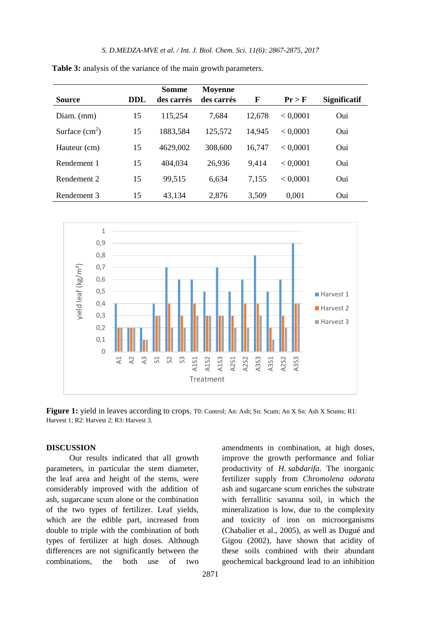|                 |            | Somme      | <b>Moyenne</b> |        |          |                     |
|-----------------|------------|------------|----------------|--------|----------|---------------------|
| Source          | <b>DDL</b> | des carrés | des carrés     | F      | $Pr$ > F | <b>Significatif</b> |
| Diam. $(mm)$    | 15         | 115.254    | 7.684          | 12.678 | < 0.0001 | Oui                 |
| Surface $(cm2)$ | 15         | 1883,584   | 125.572        | 14.945 | < 0.0001 | Oui                 |
| Hauteur (cm)    | 15         | 4629,002   | 308,600        | 16,747 | < 0.0001 | Oui                 |
| Rendement 1     | 15         | 404.034    | 26.936         | 9.414  | < 0.0001 | Oui                 |
| Rendement 2     | 15         | 99.515     | 6.634          | 7.155  | < 0.0001 | Oui                 |
| Rendement 3     | 15         | 43.134     | 2.876          | 3.509  | 0.001    | Oui                 |

**Table 3:** analysis of the variance of the main growth parameters.



**Figure 1:** yield in leaves according to crops. T0: Control; An: Ash; Sn: Scum; An X Sn: Ash X Scums; R1: Harvest 1; R2: Harvest 2; R3: Harvest 3.

#### **DISCUSSION**

Our results indicated that all growth parameters, in particular the stem diameter, the leaf area and height of the stems, were considerably improved with the addition of ash, sugarcane scum alone or the combination of the two types of fertilizer. Leaf yields, which are the edible part, increased from double to triple with the combination of both types of fertilizer at high doses. Although differences are not significantly between the combinations, the both use of two

amendments in combination, at high doses, improve the growth performance and foliar productivity of *H. sabdarifa*. The inorganic fertilizer supply from *Chromolena odorata* ash and sugarcane scum enriches the substrate with ferrallitic savanna soil, in which the mineralization is low, due to the complexity and toxicity of iron on microorganisms (Chabalier et al., 2005), as well as Dugué and Gigou (2002), have shown that acidity of these soils combined with their abundant geochemical background lead to an inhibition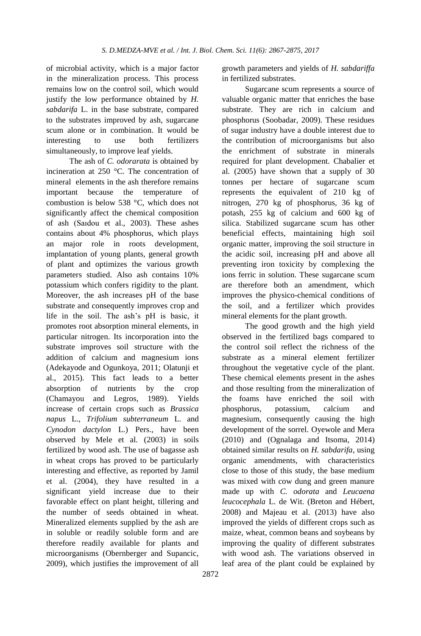of microbial activity, which is a major factor in the mineralization process. This process remains low on the control soil, which would justify the low performance obtained by *H. sabdarifa* L. in the base substrate, compared to the substrates improved by ash, sugarcane scum alone or in combination. It would be interesting to use both fertilizers simultaneously, to improve leaf yields.

The ash of *C. odorarata* is obtained by incineration at 250 °C. The concentration of mineral elements in the ash therefore remains important because the temperature of combustion is below 538 °C, which does not significantly affect the chemical composition of ash (Saıdou et al., 2003). These ashes contains about 4% phosphorus, which plays an major role in roots development, implantation of young plants, general growth of plant and optimizes the various growth parameters studied. Also ash contains 10% potassium which confers rigidity to the plant. Moreover, the ash increases pH of the base substrate and consequently improves crop and life in the soil. The ash's pH is basic, it promotes root absorption mineral elements, in particular nitrogen. Its incorporation into the substrate improves soil structure with the addition of calcium and magnesium ions (Adekayode and Ogunkoya, 2011; Olatunji et al., 2015). This fact leads to a better absorption of nutrients by the crop (Chamayou and Legros, 1989). Yields increase of certain crops such as *Brassica napus* L., *Trifolium subterraneum* L. and *Cynodon dactylon* L.) Pers., have been observed by Mele et al*.* (2003) in soils fertilized by wood ash. The use of bagasse ash in wheat crops has proved to be particularly interesting and effective, as reported by Jamil et al. (2004), they have resulted in a significant yield increase due to their favorable effect on plant height, tillering and the number of seeds obtained in wheat. Mineralized elements supplied by the ash are in soluble or readily soluble form and are therefore readily available for plants and microorganisms (Obernberger and Supancic, 2009), which justifies the improvement of all

growth parameters and yields of *H. sabdariffa* in fertilized substrates.

Sugarcane scum represents a source of valuable organic matter that enriches the base substrate. They are rich in calcium and phosphorus (Soobadar, 2009). These residues of sugar industry have a double interest due to the contribution of microorganisms but also the enrichment of substrate in minerals required for plant development. Chabalier et al*.* (2005) have shown that a supply of 30 tonnes per hectare of sugarcane scum represents the equivalent of 210 kg of nitrogen, 270 kg of phosphorus, 36 kg of potash, 255 kg of calcium and 600 kg of silica. Stabilized sugarcane scum has other beneficial effects, maintaining high soil organic matter, improving the soil structure in the acidic soil, increasing pH and above all preventing iron toxicity by complexing the ions ferric in solution. These sugarcane scum are therefore both an amendment, which improves the physico-chemical conditions of the soil, and a fertilizer which provides mineral elements for the plant growth.

The good growth and the high yield observed in the fertilized bags compared to the control soil reflect the richness of the substrate as a mineral element fertilizer throughout the vegetative cycle of the plant. These chemical elements present in the ashes and those resulting from the mineralization of the foams have enriched the soil with phosphorus, potassium, calcium and magnesium, consequently causing the high development of the sorrel. Oyewole and Mera (2010) and (Ognalaga and Itsoma, 2014) obtained similar results on *H. sabdarifa*, using organic amendments, with characteristics close to those of this study, the base medium was mixed with cow dung and green manure made up with *C. odorata* and *Leucaena leucocephala* L. de Wit. (Breton and Hébert, 2008) and Majeau et al. (2013) have also improved the yields of different crops such as maize, wheat, common beans and soybeans by improving the quality of different substrates with wood ash. The variations observed in leaf area of the plant could be explained by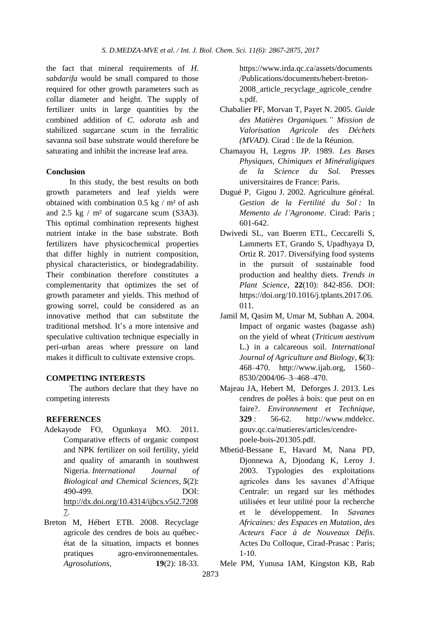the fact that mineral requirements of *H. sabdarifa* would be small compared to those required for other growth parameters such as collar diameter and height. The supply of fertilizer units in large quantities by the combined addition of *C. odorata* ash and stabilized sugarcane scum in the ferralitic savanna soil base substrate would therefore be saturating and inhibit the increase leaf area.

#### **Conclusion**

In this study, the best results on both growth parameters and leaf yields were obtained with combination  $0.5 \text{ kg} / \text{m}^2$  of ash and  $2.5 \text{ kg}$  / m<sup>2</sup> of sugarcane scum (S3A3). This optimal combination represents highest nutrient intake in the base substrate. Both fertilizers have physicochemical properties that differ highly in nutrient composition, physical characteristics, or biodegradability. Their combination therefore constitutes a complementarity that optimizes the set of growth parameter and yields. This method of growing sorrel, could be considered as an innovative method that can substitute the traditional metshod. It's a more intensive and speculative cultivation technique especially in peri-urban areas where pressure on land makes it difficult to cultivate extensive crops.

#### **COMPETING INTERESTS**

The authors declare that they have no competing interests

#### **REFERENCES**

- Adekayode FO, Ogunkoya MO. 2011. Comparative effects of organic compost and NPK fertilizer on soil fertility, yield and quality of amaranth in southwest Nigeria. *International Journal of Biological and Chemical Sciences*, *5*(2): 490-499. DOI: [http://dx.doi.org/10.4314/ijbcs.v5i2.7208](http://dx.doi.org/10.4314/ijbcs.v5i2.72087) [7.](http://dx.doi.org/10.4314/ijbcs.v5i2.72087)
- Breton M, Hébert ETB. 2008. Recyclage agricole des cendres de bois au québecétat de la situation, impacts et bonnes pratiques agro-environnementales. *Agrosolutions*, **19**(2): 18-33.

https://www.irda.qc.ca/assets/documents /Publications/documents/hebert-breton-2008\_article\_recyclage\_agricole\_cendre s.pdf.

- Chabalier PF, Morvan T, Payet N. 2005. *Guide des Matières Organiques." Mission de Valorisation Agricole des Déchets (MVAD).* Cirad : Ile de la Réunion.
- Chamayou H, Legros JP. 1989. *Les Bases Physiques, Chimiques et Minéraligiques de la Science du Sol*. Presses universitaires de France: Paris.
- Dugué P, Gigou J. 2002. Agriculture général. *Gestion de la Fertilité du Sol :* In *Memento de l'Agronome*. Cirad: Paris ; 601-642.
- Dwivedi SL, van Bueren ETL, Ceccarelli S, Lammerts ET, Grando S, Upadhyaya D, Ortiz R. 2017. Diversifying food systems in the pursuit of sustainable food production and healthy diets. *Trends in Plant Science*, **22**(10): 842-856. DOI: [https://doi.org/10.1016/j.tplants.2017.06.](https://doi.org/10.1016/j.tplants.2017.06.011) [011.](https://doi.org/10.1016/j.tplants.2017.06.011)
- Jamil M, Qasim M, Umar M, Subhan A. 2004. Impact of organic wastes (bagasse ash) on the yield of wheat (*Triticum aestivum* L.) in a calcareous soil. *International Journal of Agriculture and Biology*, **6**(3): 468–470. http://www.ijab.org, 1560– 8530/2004/06–3–468–470.
- Majeau JA, Hebert M, Deforges J. 2013. Les cendres de poêles à bois: que peut on en faire?. *Environnement et Technique,*  **329** : 56-62. http://www.mddelcc. gouv.qc.ca/matieres/articles/cendrepoele-bois-201305.pdf.
- Mbetid-Bessane E, Havard M, Nana PD, Djonnewa A, Djondang K, Leroy J. 2003. Typologies des exploitations agricoles dans les savanes d'Afrique Centrale: un regard sur les méthodes utilisées et leur utilité pour la recherche et le développement. In *Savanes Africaines: des Espaces en Mutation, des Acteurs Face à de Nouveaux Défis*. Actes Du Colloque, Cirad-Prasac : Paris; 1-10.
- Mele PM, Yunusa IAM, Kingston KB, Rab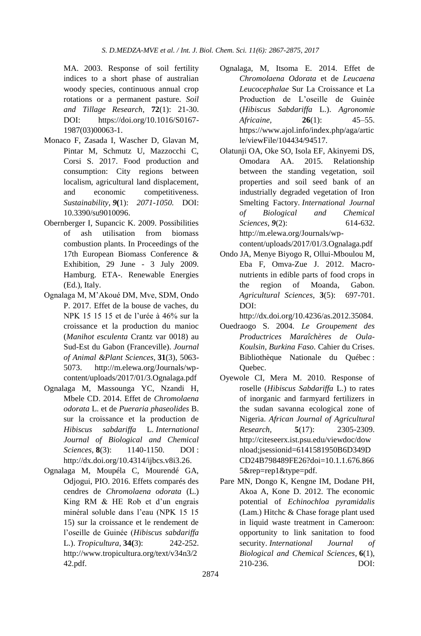MA. 2003. Response of soil fertility indices to a short phase of australian woody species, continuous annual crop rotations or a permanent pasture. *Soil and Tillage Research,* **72**(1): 21-30. DOI: [https://doi.org/10.1016/S0167-](https://doi.org/10.1016/S0167-1987(03)00063-1) [1987\(03\)00063-1.](https://doi.org/10.1016/S0167-1987(03)00063-1)

- Monaco F, Zasada I, Wascher D, Glavan M, Pintar M, Schmutz U, Mazzocchi C, Corsi S. 2017. Food production and consumption: City regions between localism, agricultural land displacement, and economic competitiveness. *Sustainability*, *9***(**1): *2071-1050.* DOI: [10.3390/su9010096.](http://dx.doi.org/10.3390/su9010096)
- Obernberger I, Supancic K. 2009. Possibilities of ash utilisation from biomass combustion plants. In Proceedings of the 17th European Biomass Conference & Exhibition, 29 June - 3 July 2009. Hamburg. ETA-. Renewable Energies (Ed.), Italy.
- Ognalaga M, M'Akoué DM, Mve, SDM, Ondo P. 2017. Effet de la bouse de vaches, du NPK 15 15 15 et de l'urée à 46% sur la croissance et la production du manioc (*Manihot esculenta* Crantz var 0018) au Sud-Est du Gabon (Franceville). *Journal of Animal &Plant Sciences*, **31**(3), 5063- 5073. http://m.elewa.org/Journals/wpcontent/uploads/2017/01/3.Ognalaga.pdf
- Ognalaga M, Massounga YC, Nzandi H, Mbele CD. 2014. Effet de *Chromolaena odorata* L. et de *Pueraria phaseolides* B. sur la croissance et la production de *Hibiscus sabdariffa* L. *International Journal of Biological and Chemical Sciences*, **8**(3): 1140-1150. DOI : [http://dx.doi.org/10.4314/ijbcs.v8i3.26.](http://dx.doi.org/10.4314/ijbcs.v8i3.26)
- Ognalaga M, Moupéla C, Mourendé GA, Odjogui, PIO. 2016. Effets comparés des cendres de *Chromolaena odorata* (L.) King RM & HE Rob et d'un engrais minéral soluble dans l'eau (NPK 15 15 15) sur la croissance et le rendement de l'oseille de Guinée (*Hibiscus sabdariffa* L.). *Tropicultura*, **34(**3): 242-252. http://www.tropicultura.org/text/v34n3/2 42.pdf.
- Ognalaga, M, Itsoma E. 2014. Effet de *Chromolaena Odorata* et de *Leucaena Leucocephalae* Sur La Croissance et La Production de L'oseille de Guinée (*Hibiscus Sabdariffa* L.). *Agronomie Africaine,* **26**(1): 45–55. https://www.ajol.info/index.php/aga/artic le/viewFile/104434/94517.
- Olatunji OA, Oke SO, Isola EF, Akinyemi DS, Omodara AA. 2015. Relationship between the standing vegetation, soil properties and soil seed bank of an industrially degraded vegetation of Iron Smelting Factory. *International Journal of Biological and Chemical Sciences*, *9*(2): 614-632. http://m.elewa.org/Journals/wpcontent/uploads/2017/01/3.Ognalaga.pdf
- Ondo JA, Menye Biyogo R, Ollui-Mboulou M, Eba F, Omva-Zue J. 2012. Macronutrients in edible parts of food crops in the region of Moanda, Gabon. *Agricultural Sciences*, **3**(5): 697-701. DOI:

http://dx.doi.org/10.4236/as.2012.35084.

- Ouedraogo S. 2004. *Le Groupement des Productrices Maraîchères de Oula-Koulsin, Burkina Faso.* Cahier du Crises. Bibliothèque Nationale du Québec : Quebec.
- Oyewole CI, Mera M. 2010. Response of roselle (*Hibiscus Sabdariffa* L.) to rates of inorganic and farmyard fertilizers in the sudan savanna ecological zone of Nigeria. *African Journal of Agricultural Research,* **5**(17): 2305-2309. http://citeseerx.ist.psu.edu/viewdoc/dow nload;jsessionid=6141581950B6D349D CD24B798489FE26?doi=10.1.1.676.866 5&rep=rep1&type=pdf.
- Pare MN, Dongo K, Kengne IM, Dodane PH, Akoa A, Kone D. 2012. The economic potential of *Echinochloa pyramidalis* (Lam.) Hitchc & Chase forage plant used in liquid waste treatment in Cameroon: opportunity to link sanitation to food security. *International Journal of Biological and Chemical Sciences*, **6**(1), 210-236. DOI: